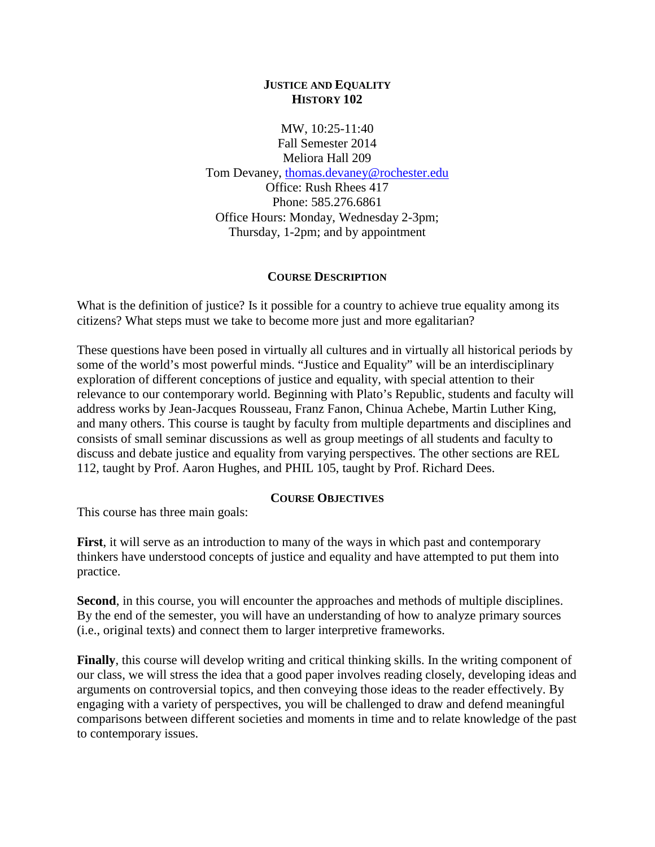### **JUSTICE AND EQUALITY HISTORY 102**

MW, 10:25-11:40 Fall Semester 2014 Meliora Hall 209 Tom Devaney, [thomas.devaney@rochester.edu](mailto:thomas.devaney@rochester.edu) Office: Rush Rhees 417 Phone: 585.276.6861 Office Hours: Monday, Wednesday 2-3pm; Thursday, 1-2pm; and by appointment

### **COURSE DESCRIPTION**

What is the definition of justice? Is it possible for a country to achieve true equality among its citizens? What steps must we take to become more just and more egalitarian?

These questions have been posed in virtually all cultures and in virtually all historical periods by some of the world's most powerful minds. "Justice and Equality" will be an interdisciplinary exploration of different conceptions of justice and equality, with special attention to their relevance to our contemporary world. Beginning with Plato's Republic, students and faculty will address works by Jean-Jacques Rousseau, Franz Fanon, Chinua Achebe, Martin Luther King, and many others. This course is taught by faculty from multiple departments and disciplines and consists of small seminar discussions as well as group meetings of all students and faculty to discuss and debate justice and equality from varying perspectives. The other sections are REL 112, taught by Prof. Aaron Hughes, and PHIL 105, taught by Prof. Richard Dees.

#### **COURSE OBJECTIVES**

This course has three main goals:

**First**, it will serve as an introduction to many of the ways in which past and contemporary thinkers have understood concepts of justice and equality and have attempted to put them into practice.

**Second**, in this course, you will encounter the approaches and methods of multiple disciplines. By the end of the semester, you will have an understanding of how to analyze primary sources (i.e., original texts) and connect them to larger interpretive frameworks.

**Finally**, this course will develop writing and critical thinking skills. In the writing component of our class, we will stress the idea that a good paper involves reading closely, developing ideas and arguments on controversial topics, and then conveying those ideas to the reader effectively. By engaging with a variety of perspectives, you will be challenged to draw and defend meaningful comparisons between different societies and moments in time and to relate knowledge of the past to contemporary issues.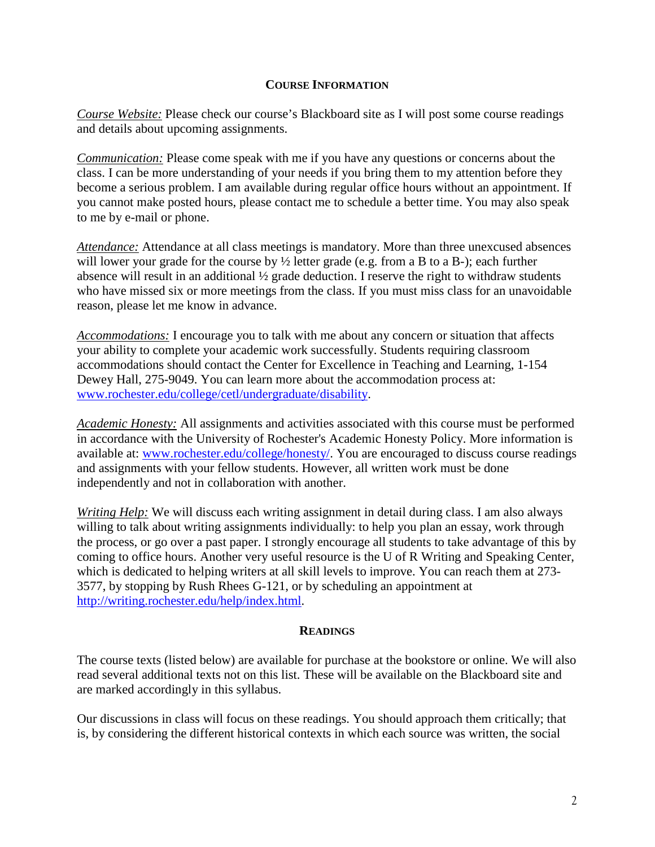#### **COURSE INFORMATION**

*Course Website:* Please check our course's Blackboard site as I will post some course readings and details about upcoming assignments.

*Communication:* Please come speak with me if you have any questions or concerns about the class. I can be more understanding of your needs if you bring them to my attention before they become a serious problem. I am available during regular office hours without an appointment. If you cannot make posted hours, please contact me to schedule a better time. You may also speak to me by e-mail or phone.

**Attendance:** Attendance at all class meetings is mandatory. More than three unexcused absences will lower your grade for the course by  $\frac{1}{2}$  letter grade (e.g. from a B to a B-); each further absence will result in an additional ½ grade deduction. I reserve the right to withdraw students who have missed six or more meetings from the class. If you must miss class for an unavoidable reason, please let me know in advance.

*Accommodations:* I encourage you to talk with me about any concern or situation that affects your ability to complete your academic work successfully. Students requiring classroom accommodations should contact the Center for Excellence in Teaching and Learning, 1-154 Dewey Hall, 275-9049. You can learn more about the accommodation process at: [www.rochester.edu/college/cetl/undergraduate/disability.](http://www.rochester.edu/college/cetl/undergraduate/disability)

*Academic Honesty:* All assignments and activities associated with this course must be performed in accordance with the University of Rochester's Academic Honesty Policy. More information is available at: [www.rochester.edu/college/honesty/.](http://www.rochester.edu/college/honesty/) You are encouraged to discuss course readings and assignments with your fellow students. However, all written work must be done independently and not in collaboration with another.

*Writing Help:* We will discuss each writing assignment in detail during class. I am also always willing to talk about writing assignments individually: to help you plan an essay, work through the process, or go over a past paper. I strongly encourage all students to take advantage of this by coming to office hours. Another very useful resource is the U of R Writing and Speaking Center, which is dedicated to helping writers at all skill levels to improve. You can reach them at 273- 3577, by stopping by Rush Rhees G-121, or by scheduling an appointment at [http://writing.rochester.edu/help/index.html.](http://writing.rochester.edu/help/index.html)

#### **READINGS**

The course texts (listed below) are available for purchase at the bookstore or online. We will also read several additional texts not on this list. These will be available on the Blackboard site and are marked accordingly in this syllabus.

Our discussions in class will focus on these readings. You should approach them critically; that is, by considering the different historical contexts in which each source was written, the social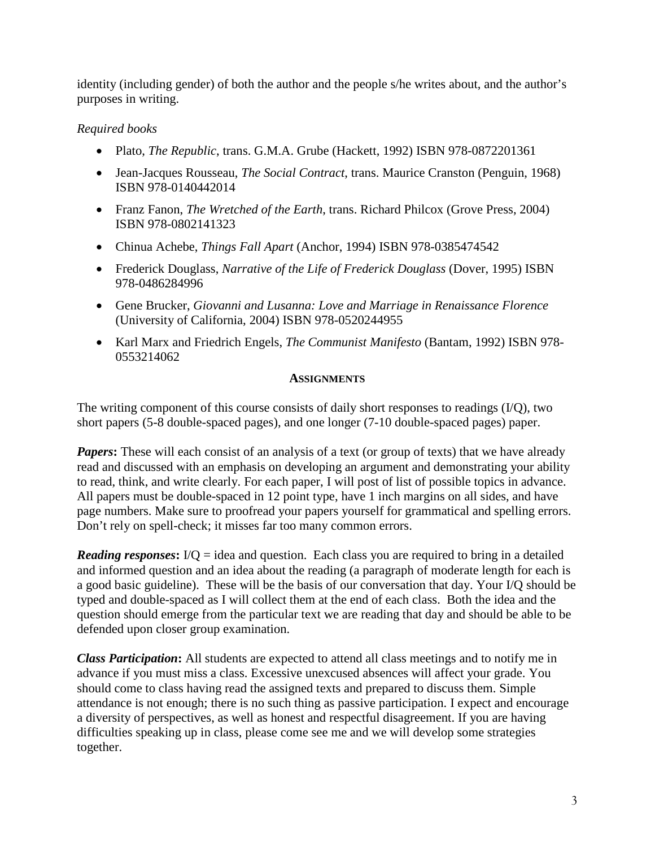identity (including gender) of both the author and the people s/he writes about, and the author's purposes in writing.

# *Required books*

- Plato, *The Republic*, trans. G.M.A. Grube (Hackett, 1992) ISBN 978-0872201361
- Jean-Jacques Rousseau, *The Social Contract*, trans. Maurice Cranston (Penguin, 1968) ISBN 978-0140442014
- Franz Fanon, *The Wretched of the Earth*, trans. Richard Philcox (Grove Press, 2004) ISBN 978-0802141323
- Chinua Achebe, *Things Fall Apart* (Anchor, 1994) ISBN 978-0385474542
- Frederick Douglass, *Narrative of the Life of Frederick Douglass* (Dover, 1995) ISBN 978-0486284996
- Gene Brucker, *Giovanni and Lusanna: Love and Marriage in Renaissance Florence* (University of California, 2004) ISBN 978-0520244955
- Karl Marx and Friedrich Engels, *The Communist Manifesto* (Bantam, 1992) ISBN 978- 0553214062

### **ASSIGNMENTS**

The writing component of this course consists of daily short responses to readings (I/Q), two short papers (5-8 double-spaced pages), and one longer (7-10 double-spaced pages) paper.

*Papers*: These will each consist of an analysis of a text (or group of texts) that we have already read and discussed with an emphasis on developing an argument and demonstrating your ability to read, think, and write clearly. For each paper, I will post of list of possible topics in advance. All papers must be double-spaced in 12 point type, have 1 inch margins on all sides, and have page numbers. Make sure to proofread your papers yourself for grammatical and spelling errors. Don't rely on spell-check; it misses far too many common errors.

*Reading responses*:  $I/Q =$  idea and question. Each class you are required to bring in a detailed and informed question and an idea about the reading (a paragraph of moderate length for each is a good basic guideline). These will be the basis of our conversation that day. Your I/Q should be typed and double-spaced as I will collect them at the end of each class. Both the idea and the question should emerge from the particular text we are reading that day and should be able to be defended upon closer group examination.

*Class Participation***:** All students are expected to attend all class meetings and to notify me in advance if you must miss a class. Excessive unexcused absences will affect your grade. You should come to class having read the assigned texts and prepared to discuss them. Simple attendance is not enough; there is no such thing as passive participation. I expect and encourage a diversity of perspectives, as well as honest and respectful disagreement. If you are having difficulties speaking up in class, please come see me and we will develop some strategies together.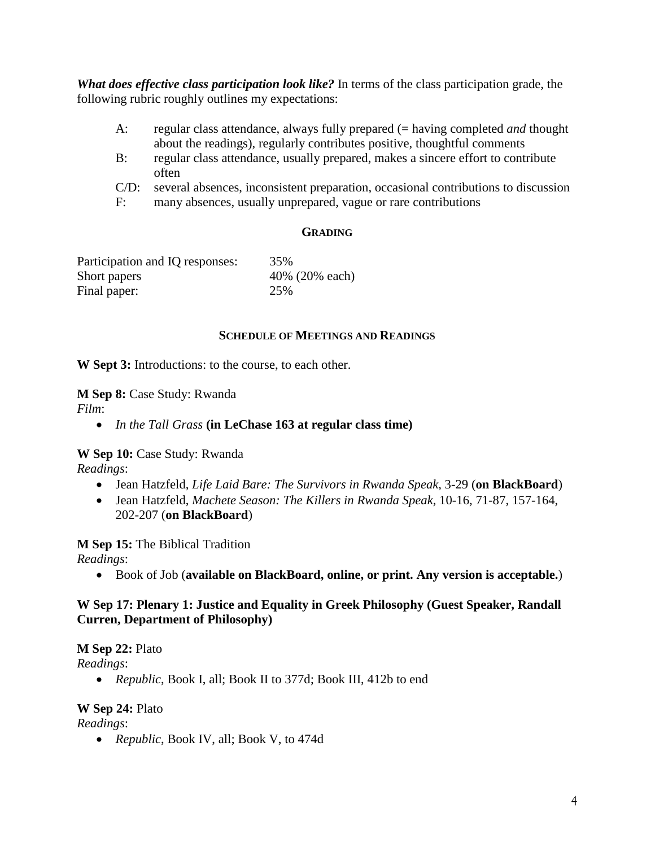*What does effective class participation look like?* In terms of the class participation grade, the following rubric roughly outlines my expectations:

- A: regular class attendance, always fully prepared (= having completed *and* thought about the readings), regularly contributes positive, thoughtful comments
- B: regular class attendance, usually prepared, makes a sincere effort to contribute often
- C/D: several absences, inconsistent preparation, occasional contributions to discussion
- F: many absences, usually unprepared, vague or rare contributions

#### **GRADING**

| Participation and IQ responses: | 35%            |
|---------------------------------|----------------|
| Short papers                    | 40% (20% each) |
| Final paper:                    | 25%            |

#### **SCHEDULE OF MEETINGS AND READINGS**

**W Sept 3:** Introductions: to the course, to each other.

**M Sep 8:** Case Study: Rwanda

*Film*:

• *In the Tall Grass* **(in LeChase 163 at regular class time)**

**W Sep 10:** Case Study: Rwanda

*Readings*:

- Jean Hatzfeld, *Life Laid Bare: The Survivors in Rwanda Speak*, 3-29 (**on BlackBoard**)
- Jean Hatzfeld, *Machete Season: The Killers in Rwanda Speak*, 10-16, 71-87, 157-164, 202-207 (**on BlackBoard**)

**M Sep 15:** The Biblical Tradition

*Readings*:

• Book of Job (**available on BlackBoard, online, or print. Any version is acceptable.**)

## **W Sep 17: Plenary 1: Justice and Equality in Greek Philosophy (Guest Speaker, Randall Curren, Department of Philosophy)**

**M Sep 22:** Plato

*Readings*:

• *Republic*, Book I, all; Book II to 377d; Book III, 412b to end

#### **W Sep 24:** Plato

*Readings*:

• *Republic*, Book IV, all; Book V, to 474d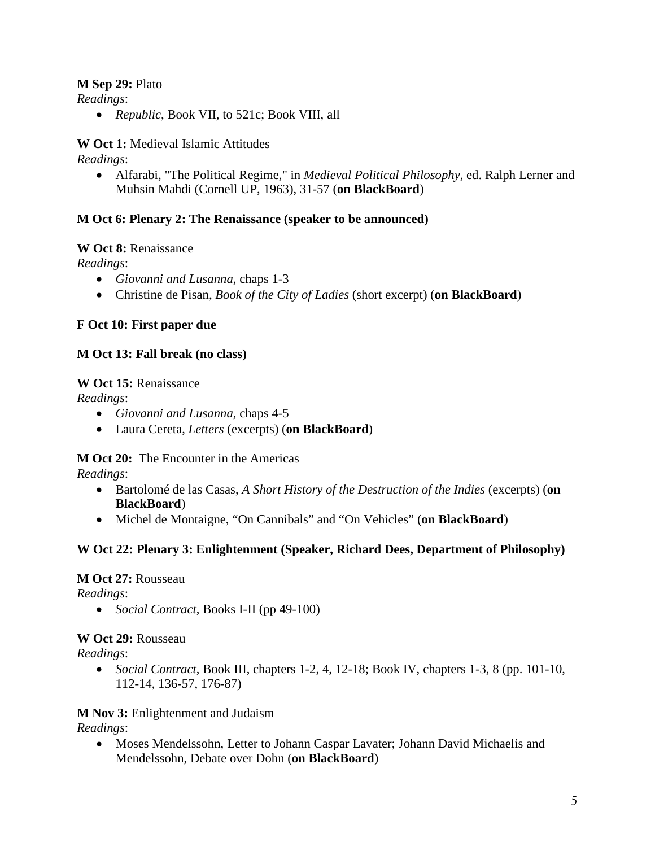## **M Sep 29:** Plato

*Readings*:

• *Republic*, Book VII, to 521c; Book VIII, all

**W Oct 1:** Medieval Islamic Attitudes

*Readings*:

• Alfarabi, "The Political Regime," in *Medieval Political Philosophy*, ed. Ralph Lerner and Muhsin Mahdi (Cornell UP, 1963), 31-57 (**on BlackBoard**)

# **M Oct 6: Plenary 2: The Renaissance (speaker to be announced)**

# **W Oct 8:** Renaissance

*Readings*:

- *Giovanni and Lusanna*, chaps 1-3
- Christine de Pisan, *Book of the City of Ladies* (short excerpt) (**on BlackBoard**)

# **F Oct 10: First paper due**

# **M Oct 13: Fall break (no class)**

# **W Oct 15:** Renaissance

*Readings*:

- *Giovanni and Lusanna*, chaps 4-5
- Laura Cereta, *Letters* (excerpts) (**on BlackBoard**)

**M Oct 20:** The Encounter in the Americas

*Readings*:

- Bartolomé de las Casas, *A Short History of the Destruction of the Indies* (excerpts) (**on BlackBoard**)
- Michel de Montaigne, "On Cannibals" and "On Vehicles" (**on BlackBoard**)

# **W Oct 22: Plenary 3: Enlightenment (Speaker, Richard Dees, Department of Philosophy)**

## **M Oct 27:** Rousseau

*Readings*:

• *Social Contract*, Books I-II (pp 49-100)

# **W Oct 29:** Rousseau

*Readings*:

• *Social Contract*, Book III, chapters 1-2, 4, 12-18; Book IV, chapters 1-3, 8 (pp. 101-10, 112-14, 136-57, 176-87)

# **M Nov 3:** Enlightenment and Judaism

*Readings*:

• Moses Mendelssohn, Letter to Johann Caspar Lavater; Johann David Michaelis and Mendelssohn, Debate over Dohn (**on BlackBoard**)